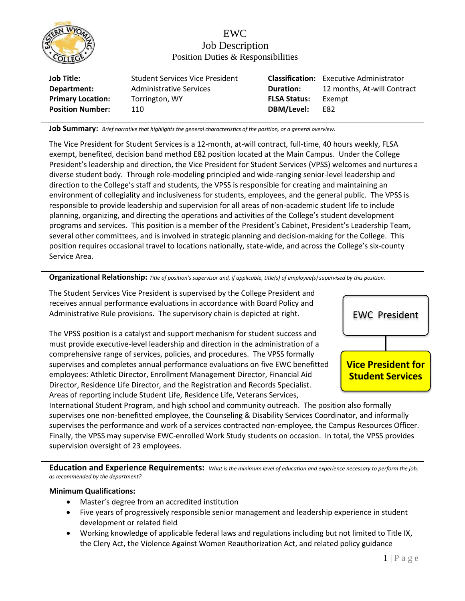

# EWC Job Description Position Duties & Responsibilities

| <b>Job Title:</b>        | <b>Student Services Vice President</b> |                     | <b>Classification:</b> Executive Administrator |
|--------------------------|----------------------------------------|---------------------|------------------------------------------------|
| Department:              | Administrative Services                | <b>Duration:</b>    | 12 months, At-will Contract                    |
| <b>Primary Location:</b> | Torrington, WY                         | <b>FLSA Status:</b> | Exempt                                         |
| <b>Position Number:</b>  | 110                                    | DBM/Level:          | E82                                            |
|                          |                                        |                     |                                                |

**Job Summary:** *Brief narrative that highlights the general characteristics of the position, or a general overview.*

The Vice President for Student Services is a 12-month, at-will contract, full-time, 40 hours weekly, FLSA exempt, benefited, decision band method E82 position located at the Main Campus. Under the College President's leadership and direction, the Vice President for Student Services (VPSS) welcomes and nurtures a diverse student body. Through role-modeling principled and wide-ranging senior-level leadership and direction to the College's staff and students, the VPSS is responsible for creating and maintaining an environment of collegiality and inclusiveness for students, employees, and the general public. The VPSS is responsible to provide leadership and supervision for all areas of non-academic student life to include planning, organizing, and directing the operations and activities of the College's student development programs and services. This position is a member of the President's Cabinet, President's Leadership Team, several other committees, and is involved in strategic planning and decision-making for the College. This position requires occasional travel to locations nationally, state-wide, and across the College's six-county Service Area.

#### **Organizational Relationship:** *Title of position's supervisor and, if applicable, title(s) of employee(s) supervised by this position.*

The Student Services Vice President is supervised by the College President and receives annual performance evaluations in accordance with Board Policy and Administrative Rule provisions. The supervisory chain is depicted at right.

The VPSS position is a catalyst and support mechanism for student success and must provide executive-level leadership and direction in the administration of a comprehensive range of services, policies, and procedures. The VPSS formally supervises and completes annual performance evaluations on five EWC benefitted employees: Athletic Director, Enrollment Management Director, Financial Aid Director, Residence Life Director, and the Registration and Records Specialist. Areas of reporting include Student Life, Residence Life, Veterans Services,



International Student Program, and high school and community outreach. The position also formally supervises one non-benefitted employee, the Counseling & Disability Services Coordinator, and informally supervises the performance and work of a services contracted non-employee, the Campus Resources Officer. Finally, the VPSS may supervise EWC-enrolled Work Study students on occasion. In total, the VPSS provides supervision oversight of 23 employees.

**Education and Experience Requirements:** *What is the minimum level of education and experience necessary to perform the job, as recommended by the department?*

#### **Minimum Qualifications:**

- Master's degree from an accredited institution
- Five years of progressively responsible senior management and leadership experience in student development or related field
- Working knowledge of applicable federal laws and regulations including but not limited to Title IX, the Clery Act, the Violence Against Women Reauthorization Act, and related policy guidance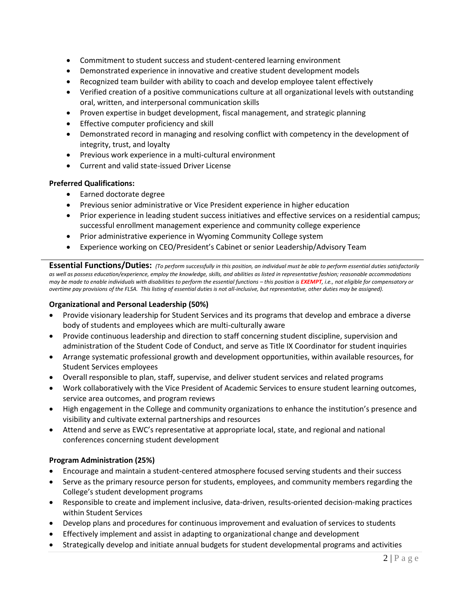- Commitment to student success and student-centered learning environment
- Demonstrated experience in innovative and creative student development models
- Recognized team builder with ability to coach and develop employee talent effectively
- Verified creation of a positive communications culture at all organizational levels with outstanding oral, written, and interpersonal communication skills
- Proven expertise in budget development, fiscal management, and strategic planning
- Effective computer proficiency and skill
- Demonstrated record in managing and resolving conflict with competency in the development of integrity, trust, and loyalty
- Previous work experience in a multi-cultural environment
- Current and valid state-issued Driver License

### **Preferred Qualifications:**

- Earned doctorate degree
- Previous senior administrative or Vice President experience in higher education
- Prior experience in leading student success initiatives and effective services on a residential campus; successful enrollment management experience and community college experience
- Prior administrative experience in Wyoming Community College system
- Experience working on CEO/President's Cabinet or senior Leadership/Advisory Team

**Essential Functions/Duties:** *(To perform successfully in this position, an individual must be able to perform essential duties satisfactorily as well as possess education/experience, employ the knowledge, skills, and abilities as listed in representative fashion; reasonable accommodations may be made to enable individuals with disabilities to perform the essential functions – this position is EXEMPT, i.e., not eligible for compensatory or overtime pay provisions of the FLSA. This listing of essential duties is not all-inclusive, but representative, other duties may be assigned).*

## **Organizational and Personal Leadership (50%)**

- Provide visionary leadership for Student Services and its programs that develop and embrace a diverse body of students and employees which are multi-culturally aware
- Provide continuous leadership and direction to staff concerning student discipline, supervision and administration of the Student Code of Conduct, and serve as Title IX Coordinator for student inquiries
- Arrange systematic professional growth and development opportunities, within available resources, for Student Services employees
- Overall responsible to plan, staff, supervise, and deliver student services and related programs
- Work collaboratively with the Vice President of Academic Services to ensure student learning outcomes, service area outcomes, and program reviews
- High engagement in the College and community organizations to enhance the institution's presence and visibility and cultivate external partnerships and resources
- Attend and serve as EWC's representative at appropriate local, state, and regional and national conferences concerning student development

### **Program Administration (25%)**

- Encourage and maintain a student-centered atmosphere focused serving students and their success
- Serve as the primary resource person for students, employees, and community members regarding the College's student development programs
- Responsible to create and implement inclusive, data-driven, results-oriented decision-making practices within Student Services
- Develop plans and procedures for continuous improvement and evaluation of services to students
- Effectively implement and assist in adapting to organizational change and development
- Strategically develop and initiate annual budgets for student developmental programs and activities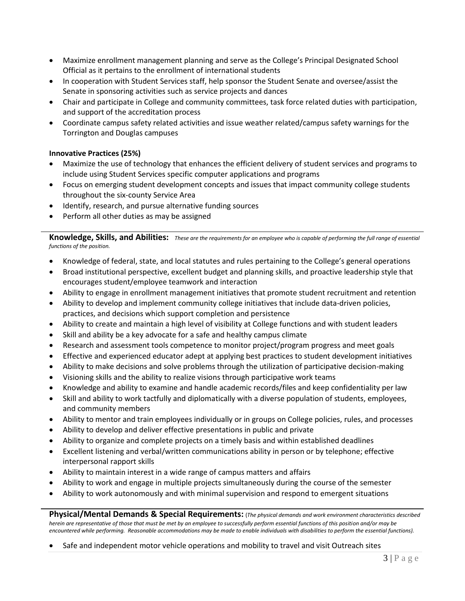- Maximize enrollment management planning and serve as the College's Principal Designated School Official as it pertains to the enrollment of international students
- In cooperation with Student Services staff, help sponsor the Student Senate and oversee/assist the Senate in sponsoring activities such as service projects and dances
- Chair and participate in College and community committees, task force related duties with participation, and support of the accreditation process
- Coordinate campus safety related activities and issue weather related/campus safety warnings for the Torrington and Douglas campuses

## **Innovative Practices (25%)**

- Maximize the use of technology that enhances the efficient delivery of student services and programs to include using Student Services specific computer applications and programs
- Focus on emerging student development concepts and issues that impact community college students throughout the six-county Service Area
- Identify, research, and pursue alternative funding sources
- Perform all other duties as may be assigned

**Knowledge, Skills, and Abilities:** *These are the requirements for an employee who is capable of performing the full range of essential functions of the position.*

- Knowledge of federal, state, and local statutes and rules pertaining to the College's general operations
- Broad institutional perspective, excellent budget and planning skills, and proactive leadership style that encourages student/employee teamwork and interaction
- Ability to engage in enrollment management initiatives that promote student recruitment and retention
- Ability to develop and implement community college initiatives that include data-driven policies, practices, and decisions which support completion and persistence
- Ability to create and maintain a high level of visibility at College functions and with student leaders
- Skill and ability be a key advocate for a safe and healthy campus climate
- Research and assessment tools competence to monitor project/program progress and meet goals
- Effective and experienced educator adept at applying best practices to student development initiatives
- Ability to make decisions and solve problems through the utilization of participative decision-making
- Visioning skills and the ability to realize visions through participative work teams
- Knowledge and ability to examine and handle academic records/files and keep confidentiality per law
- Skill and ability to work tactfully and diplomatically with a diverse population of students, employees, and community members
- Ability to mentor and train employees individually or in groups on College policies, rules, and processes
- Ability to develop and deliver effective presentations in public and private
- Ability to organize and complete projects on a timely basis and within established deadlines
- Excellent listening and verbal/written communications ability in person or by telephone; effective interpersonal rapport skills
- Ability to maintain interest in a wide range of campus matters and affairs
- Ability to work and engage in multiple projects simultaneously during the course of the semester
- Ability to work autonomously and with minimal supervision and respond to emergent situations

**Physical/Mental Demands & Special Requirements:** (*The physical demands and work environment characteristics described herein are representative of those that must be met by an employee to successfully perform essential functions of this position and/or may be encountered while performing. Reasonable accommodations may be made to enable individuals with disabilities to perform the essential functions).*

Safe and independent motor vehicle operations and mobility to travel and visit Outreach sites